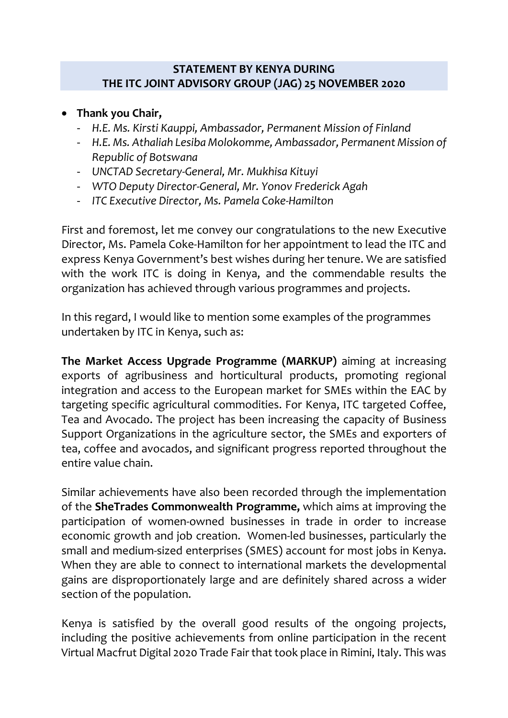## **STATEMENT BY KENYA DURING THE ITC JOINT ADVISORY GROUP (JAG) 25 NOVEMBER 2020**

## • **Thank you Chair,**

- *H.E. Ms. Kirsti Kauppi, Ambassador, Permanent Mission of Finland*
- *H.E. Ms. Athaliah Lesiba Molokomme, Ambassador, Permanent Mission of Republic of Botswana*
- *UNCTAD Secretary-General, Mr. Mukhisa Kituyi*
- *WTO Deputy Director-General, Mr. Yonov Frederick Agah*
- *ITC Executive Director, Ms. Pamela Coke-Hamilton*

First and foremost, let me convey our congratulations to the new Executive Director, Ms. Pamela Coke-Hamilton for her appointment to lead the ITC and express Kenya Government's best wishes during her tenure. We are satisfied with the work ITC is doing in Kenya, and the commendable results the organization has achieved through various programmes and projects.

In this regard, I would like to mention some examples of the programmes undertaken by ITC in Kenya, such as:

**The Market Access Upgrade Programme (MARKUP)** aiming at increasing exports of agribusiness and horticultural products, promoting regional integration and access to the European market for SMEs within the EAC by targeting specific agricultural commodities. For Kenya, ITC targeted Coffee, Tea and Avocado. The project has been increasing the capacity of Business Support Organizations in the agriculture sector, the SMEs and exporters of tea, coffee and avocados, and significant progress reported throughout the entire value chain.

Similar achievements have also been recorded through the implementation of the **SheTrades Commonwealth Programme,** which aims at improving the participation of women-owned businesses in trade in order to increase economic growth and job creation. Women-led businesses, particularly the small and medium-sized enterprises (SMES) account for most jobs in Kenya. When they are able to connect to international markets the developmental gains are disproportionately large and are definitely shared across a wider section of the population.

Kenya is satisfied by the overall good results of the ongoing projects, including the positive achievements from online participation in the recent Virtual Macfrut Digital 2020 Trade Fair that took place in Rimini, Italy. This was